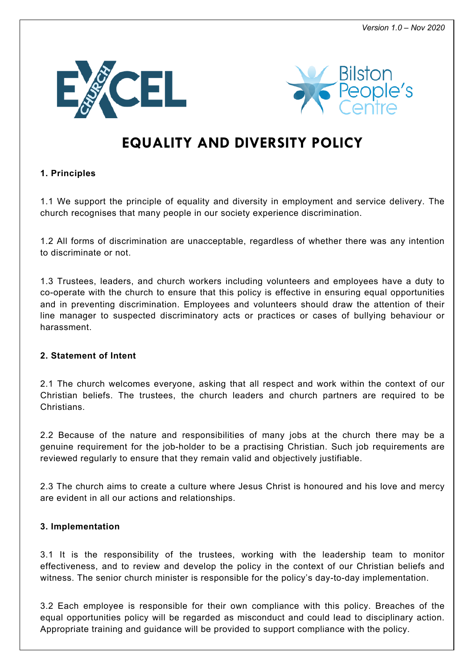



# **EQUALITY AND DIVERSITY POLICY**

# **1. Principles**

1.1 We support the principle of equality and diversity in employment and service delivery. The church recognises that many people in our society experience discrimination.

1.2 All forms of discrimination are unacceptable, regardless of whether there was any intention to discriminate or not.

1.3 Trustees, leaders, and church workers including volunteers and employees have a duty to co-operate with the church to ensure that this policy is effective in ensuring equal opportunities and in preventing discrimination. Employees and volunteers should draw the attention of their line manager to suspected discriminatory acts or practices or cases of bullying behaviour or harassment.

## **2. Statement of Intent**

2.1 The church welcomes everyone, asking that all respect and work within the context of our Christian beliefs. The trustees, the church leaders and church partners are required to be Christians.

2.2 Because of the nature and responsibilities of many jobs at the church there may be a genuine requirement for the job-holder to be a practising Christian. Such job requirements are reviewed regularly to ensure that they remain valid and objectively justifiable.

2.3 The church aims to create a culture where Jesus Christ is honoured and his love and mercy are evident in all our actions and relationships.

## **3. Implementation**

3.1 It is the responsibility of the trustees, working with the leadership team to monitor effectiveness, and to review and develop the policy in the context of our Christian beliefs and witness. The senior church minister is responsible for the policy's day-to-day implementation.

3.2 Each employee is responsible for their own compliance with this policy. Breaches of the equal opportunities policy will be regarded as misconduct and could lead to disciplinary action. Appropriate training and guidance will be provided to support compliance with the policy.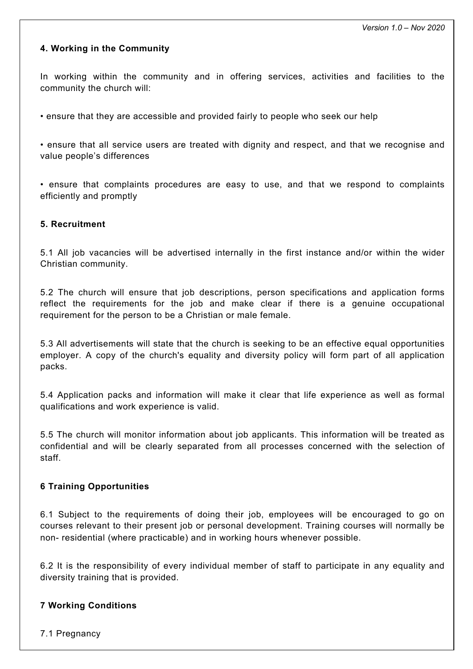#### **4. Working in the Community**

In working within the community and in offering services, activities and facilities to the community the church will:

• ensure that they are accessible and provided fairly to people who seek our help

• ensure that all service users are treated with dignity and respect, and that we recognise and value people's differences

• ensure that complaints procedures are easy to use, and that we respond to complaints efficiently and promptly

#### **5. Recruitment**

5.1 All job vacancies will be advertised internally in the first instance and/or within the wider Christian community.

5.2 The church will ensure that job descriptions, person specifications and application forms reflect the requirements for the job and make clear if there is a genuine occupational requirement for the person to be a Christian or male female.

5.3 All advertisements will state that the church is seeking to be an effective equal opportunities employer. A copy of the church's equality and diversity policy will form part of all application packs.

5.4 Application packs and information will make it clear that life experience as well as formal qualifications and work experience is valid.

5.5 The church will monitor information about job applicants. This information will be treated as confidential and will be clearly separated from all processes concerned with the selection of staff.

#### **6 Training Opportunities**

6.1 Subject to the requirements of doing their job, employees will be encouraged to go on courses relevant to their present job or personal development. Training courses will normally be non- residential (where practicable) and in working hours whenever possible.

6.2 It is the responsibility of every individual member of staff to participate in any equality and diversity training that is provided.

#### **7 Working Conditions**

7.1 Pregnancy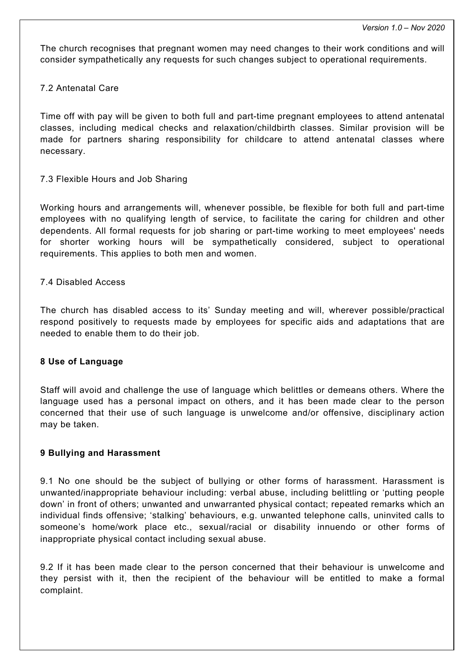The church recognises that pregnant women may need changes to their work conditions and will consider sympathetically any requests for such changes subject to operational requirements.

#### 7.2 Antenatal Care

Time off with pay will be given to both full and part-time pregnant employees to attend antenatal classes, including medical checks and relaxation/childbirth classes. Similar provision will be made for partners sharing responsibility for childcare to attend antenatal classes where necessary.

7.3 Flexible Hours and Job Sharing

Working hours and arrangements will, whenever possible, be flexible for both full and part-time employees with no qualifying length of service, to facilitate the caring for children and other dependents. All formal requests for job sharing or part-time working to meet employees' needs for shorter working hours will be sympathetically considered, subject to operational requirements. This applies to both men and women.

#### 7.4 Disabled Access

The church has disabled access to its' Sunday meeting and will, wherever possible/practical respond positively to requests made by employees for specific aids and adaptations that are needed to enable them to do their job.

#### **8 Use of Language**

Staff will avoid and challenge the use of language which belittles or demeans others. Where the language used has a personal impact on others, and it has been made clear to the person concerned that their use of such language is unwelcome and/or offensive, disciplinary action may be taken.

#### **9 Bullying and Harassment**

9.1 No one should be the subject of bullying or other forms of harassment. Harassment is unwanted/inappropriate behaviour including: verbal abuse, including belittling or 'putting people down' in front of others; unwanted and unwarranted physical contact; repeated remarks which an individual finds offensive; 'stalking' behaviours, e.g. unwanted telephone calls, uninvited calls to someone's home/work place etc., sexual/racial or disability innuendo or other forms of inappropriate physical contact including sexual abuse.

9.2 If it has been made clear to the person concerned that their behaviour is unwelcome and they persist with it, then the recipient of the behaviour will be entitled to make a formal complaint.